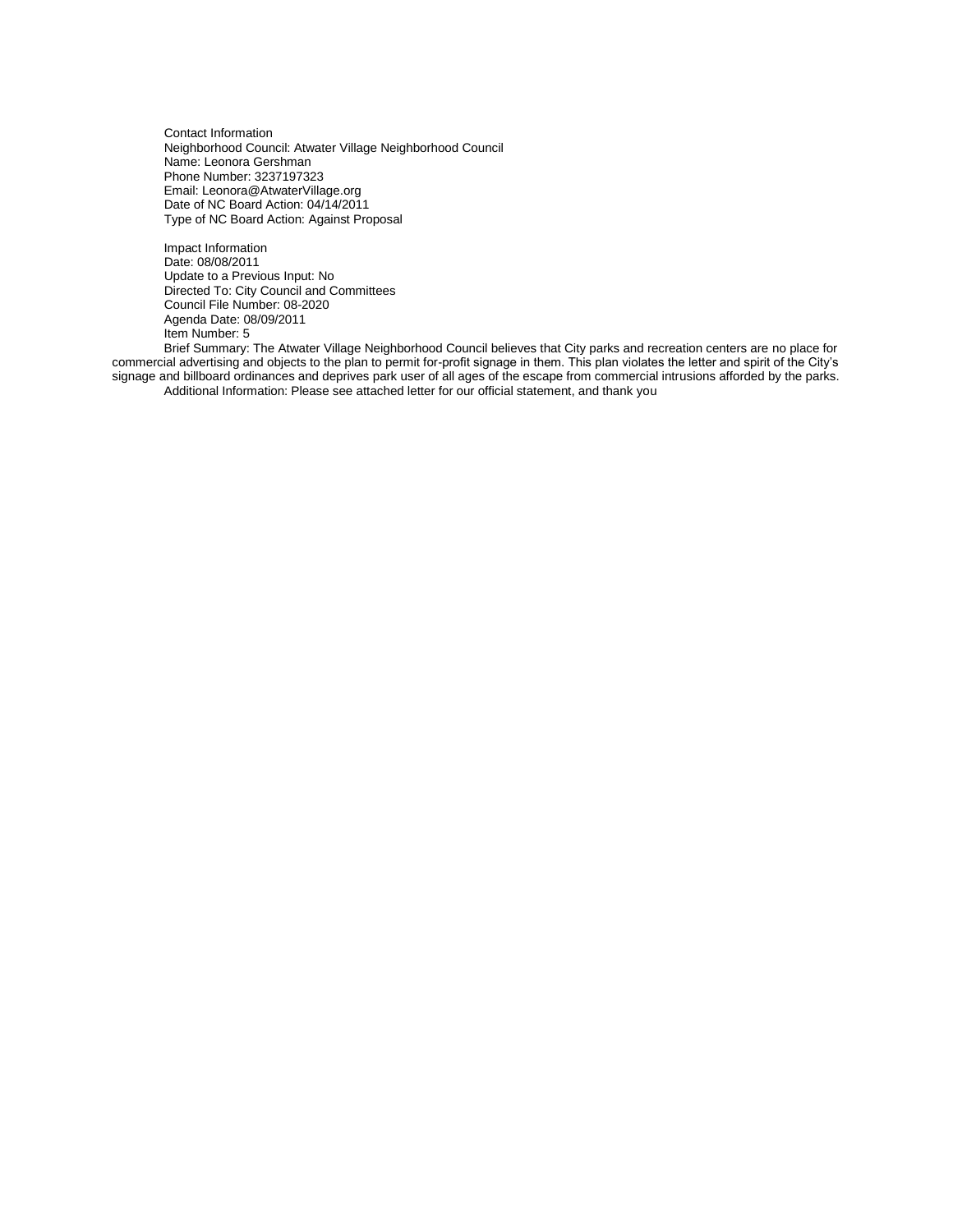Contact Information Neighborhood Council: Atwater Village Neighborhood Council Name: Leonora Gershman Phone Number: 3237197323 Email: Leonora@AtwaterVillage.org Date of NC Board Action: 04/14/2011 Type of NC Board Action: Against Proposal

Impact Information Date: 08/08/2011 Update to a Previous Input: No Directed To: City Council and Committees Council File Number: 08-2020 Agenda Date: 08/09/2011 Item Number: 5

Brief Summary: The Atwater Village Neighborhood Council believes that City parks and recreation centers are no place for commercial advertising and objects to the plan to permit for-profit signage in them. This plan violates the letter and spirit of the City's signage and billboard ordinances and deprives park user of all ages of the escape from commercial intrusions afforded by the parks. Additional Information: Please see attached letter for our official statement, and thank you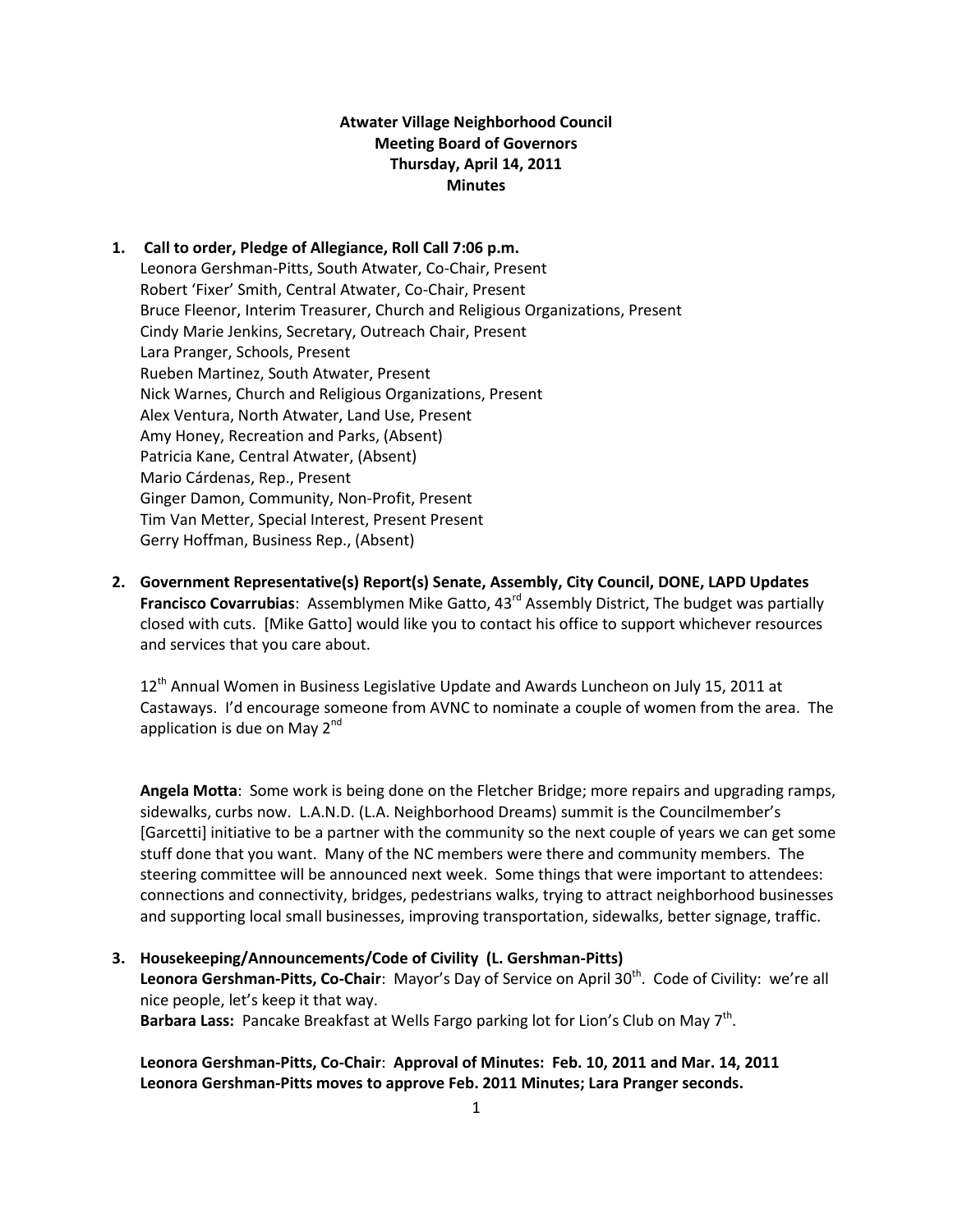# **Atwater Village Neighborhood Council Meeting Board of Governors Thursday, April 14, 2011 Minutes**

- **1. Call to order, Pledge of Allegiance, Roll Call 7:06 p.m.** Leonora Gershman-Pitts, South Atwater, Co-Chair, Present Robert 'Fixer' Smith, Central Atwater, Co-Chair, Present Bruce Fleenor, Interim Treasurer, Church and Religious Organizations, Present Cindy Marie Jenkins, Secretary, Outreach Chair, Present Lara Pranger, Schools, Present Rueben Martinez, South Atwater, Present Nick Warnes, Church and Religious Organizations, Present Alex Ventura, North Atwater, Land Use, Present Amy Honey, Recreation and Parks, (Absent) Patricia Kane, Central Atwater, (Absent) Mario Cárdenas, Rep., Present Ginger Damon, Community, Non-Profit, Present Tim Van Metter, Special Interest, Present Present Gerry Hoffman, Business Rep., (Absent)
- **2. Government Representative(s) Report(s) Senate, Assembly, City Council, DONE, LAPD Updates Francisco Covarrubias**: Assemblymen Mike Gatto, 43<sup>rd</sup> Assembly District, The budget was partially closed with cuts. [Mike Gatto] would like you to contact his office to support whichever resources and services that you care about.

12<sup>th</sup> Annual Women in Business Legislative Update and Awards Luncheon on July 15, 2011 at Castaways. I'd encourage someone from AVNC to nominate a couple of women from the area. The application is due on May  $2^{nd}$ 

**Angela Motta**: Some work is being done on the Fletcher Bridge; more repairs and upgrading ramps, sidewalks, curbs now. L.A.N.D. (L.A. Neighborhood Dreams) summit is the Councilmember's [Garcetti] initiative to be a partner with the community so the next couple of years we can get some stuff done that you want. Many of the NC members were there and community members. The steering committee will be announced next week. Some things that were important to attendees: connections and connectivity, bridges, pedestrians walks, trying to attract neighborhood businesses and supporting local small businesses, improving transportation, sidewalks, better signage, traffic.

**3. Housekeeping/Announcements/Code of Civility (L. Gershman-Pitts)**

Leonora Gershman-Pitts, Co-Chair: Mayor's Day of Service on April 30<sup>th</sup>. Code of Civility: we're all nice people, let's keep it that way.

Barbara Lass: Pancake Breakfast at Wells Fargo parking lot for Lion's Club on May 7<sup>th</sup>.

**Leonora Gershman-Pitts, Co-Chair**: **Approval of Minutes: Feb. 10, 2011 and Mar. 14, 2011 Leonora Gershman-Pitts moves to approve Feb. 2011 Minutes; Lara Pranger seconds.**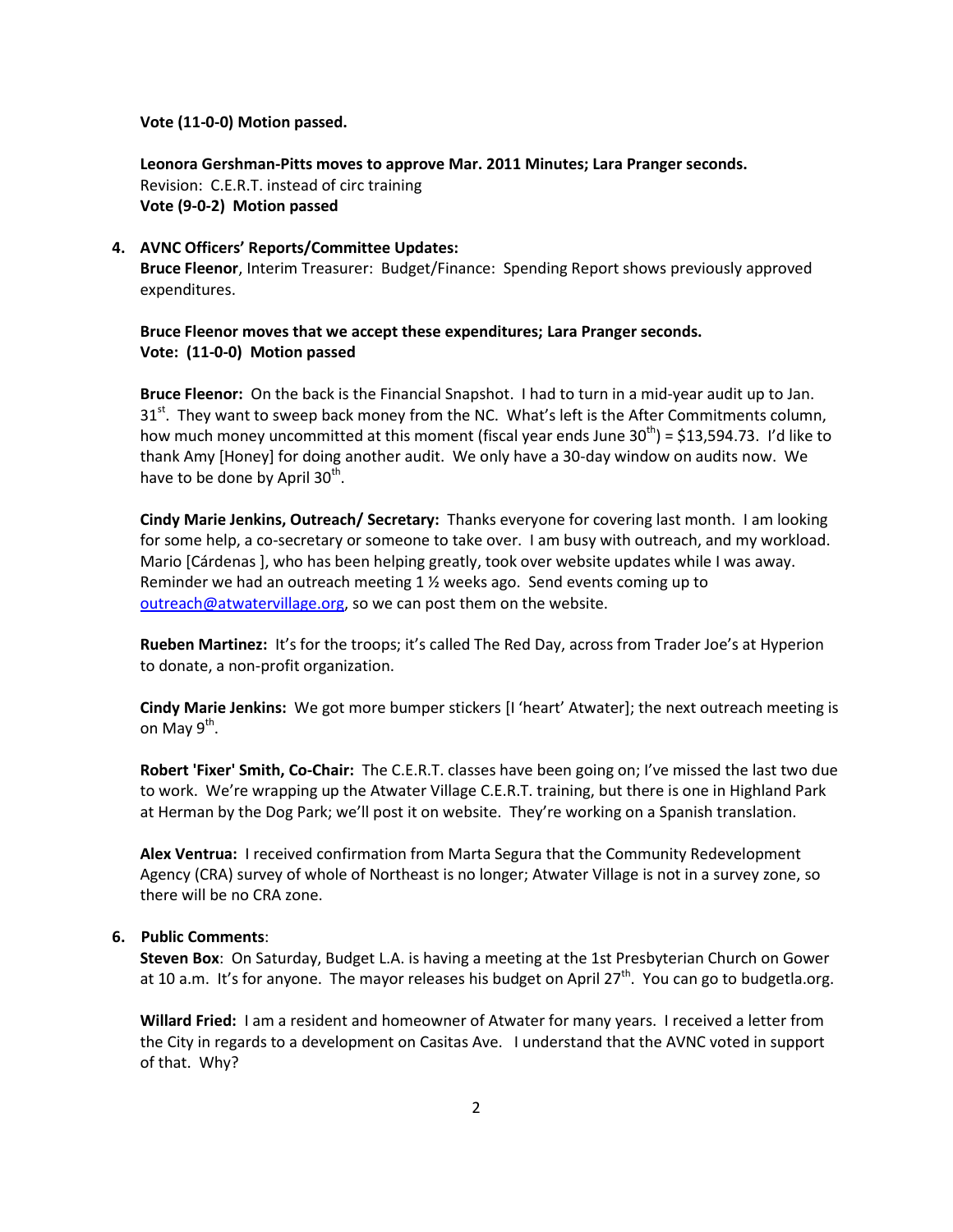#### **Vote (11-0-0) Motion passed.**

**Leonora Gershman-Pitts moves to approve Mar. 2011 Minutes; Lara Pranger seconds.** Revision: C.E.R.T. instead of circ training **Vote (9-0-2) Motion passed**

#### **4. AVNC Officers' Reports/Committee Updates:**

**Bruce Fleenor**, Interim Treasurer: Budget/Finance: Spending Report shows previously approved expenditures.

**Bruce Fleenor moves that we accept these expenditures; Lara Pranger seconds. Vote: (11-0-0) Motion passed**

**Bruce Fleenor:** On the back is the Financial Snapshot. I had to turn in a mid-year audit up to Jan.  $31<sup>st</sup>$ . They want to sweep back money from the NC. What's left is the After Commitments column, how much money uncommitted at this moment (fiscal year ends June  $30<sup>th</sup>$ ) = \$13,594.73. I'd like to thank Amy [Honey] for doing another audit. We only have a 30-day window on audits now. We have to be done by April 30<sup>th</sup>.

**Cindy Marie Jenkins, Outreach/ Secretary:** Thanks everyone for covering last month. I am looking for some help, a co-secretary or someone to take over. I am busy with outreach, and my workload. Mario [Cárdenas ], who has been helping greatly, took over website updates while I was away. Reminder we had an outreach meeting 1  $\frac{1}{2}$  weeks ago. Send events coming up to [outreach@atwatervillage.org,](mailto:outreach@atwatervillage.org) so we can post them on the website.

**Rueben Martinez:** It's for the troops; it's called The Red Day, across from Trader Joe's at Hyperion to donate, a non-profit organization.

**Cindy Marie Jenkins:** We got more bumper stickers [I 'heart' Atwater]; the next outreach meeting is on May 9<sup>th</sup>.

**Robert 'Fixer' Smith, Co-Chair:** The C.E.R.T. classes have been going on; I've missed the last two due to work. We're wrapping up the Atwater Village C.E.R.T. training, but there is one in Highland Park at Herman by the Dog Park; we'll post it on website. They're working on a Spanish translation.

**Alex Ventrua:** I received confirmation from Marta Segura that the Community Redevelopment Agency (CRA) survey of whole of Northeast is no longer; Atwater Village is not in a survey zone, so there will be no CRA zone.

## **6. Public Comments**:

**Steven Box**: On Saturday, Budget L.A. is having a meeting at the 1st Presbyterian Church on Gower at 10 a.m. It's for anyone. The mayor releases his budget on April 27<sup>th</sup>. You can go to budgetla.org.

**Willard Fried:** I am a resident and homeowner of Atwater for many years. I received a letter from the City in regards to a development on Casitas Ave. I understand that the AVNC voted in support of that. Why?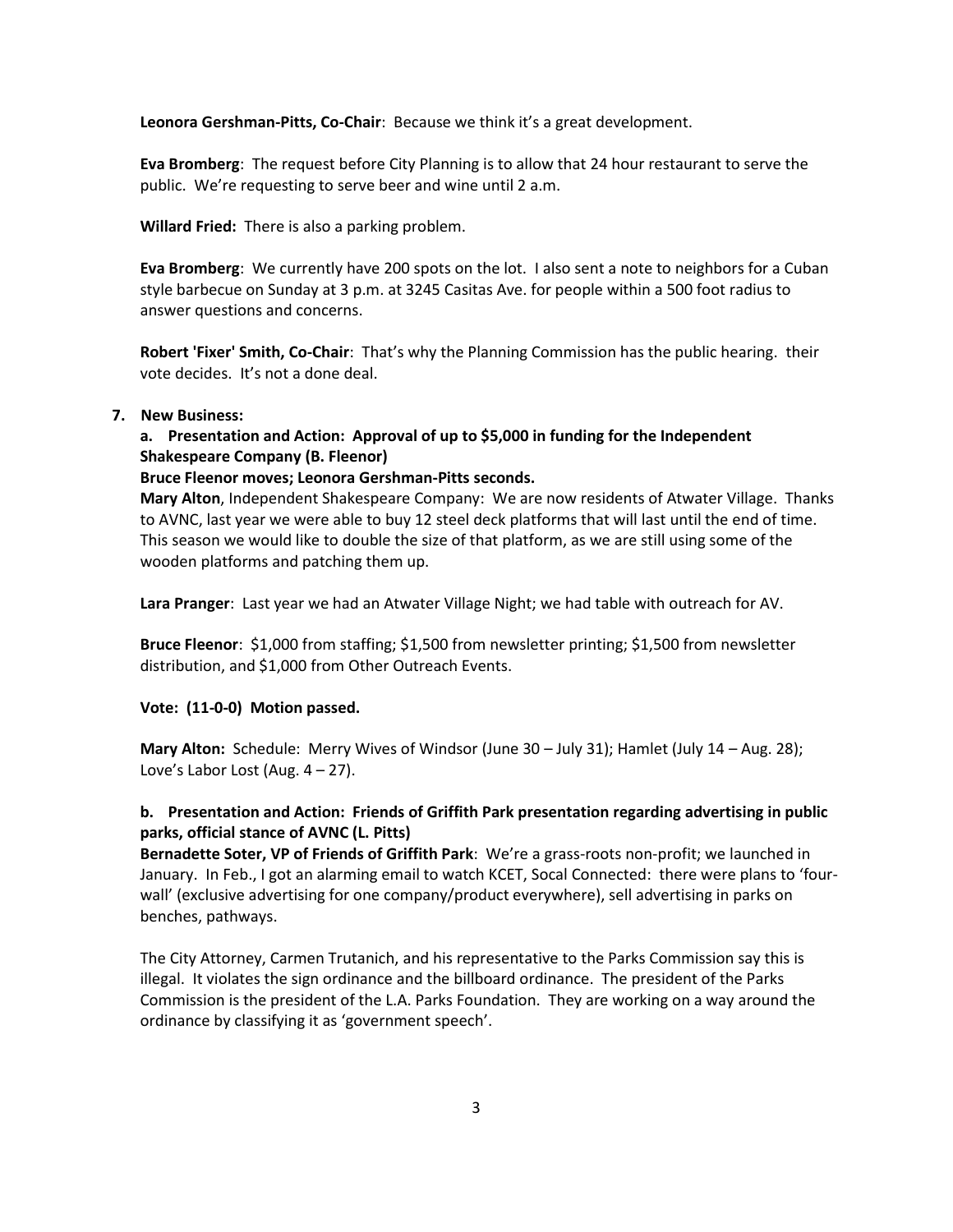**Leonora Gershman-Pitts, Co-Chair**: Because we think it's a great development.

**Eva Bromberg**: The request before City Planning is to allow that 24 hour restaurant to serve the public. We're requesting to serve beer and wine until 2 a.m.

**Willard Fried:** There is also a parking problem.

**Eva Bromberg**: We currently have 200 spots on the lot. I also sent a note to neighbors for a Cuban style barbecue on Sunday at 3 p.m. at 3245 Casitas Ave. for people within a 500 foot radius to answer questions and concerns.

**Robert 'Fixer' Smith, Co-Chair**: That's why the Planning Commission has the public hearing. their vote decides. It's not a done deal.

#### **7. New Business:**

# **a. Presentation and Action: Approval of up to \$5,000 in funding for the Independent Shakespeare Company (B. Fleenor)**

#### **Bruce Fleenor moves; Leonora Gershman-Pitts seconds.**

**Mary Alton**, Independent Shakespeare Company: We are now residents of Atwater Village. Thanks to AVNC, last year we were able to buy 12 steel deck platforms that will last until the end of time. This season we would like to double the size of that platform, as we are still using some of the wooden platforms and patching them up.

**Lara Pranger**: Last year we had an Atwater Village Night; we had table with outreach for AV.

**Bruce Fleenor**: \$1,000 from staffing; \$1,500 from newsletter printing; \$1,500 from newsletter distribution, and \$1,000 from Other Outreach Events.

#### **Vote: (11-0-0) Motion passed.**

**Mary Alton:** Schedule: Merry Wives of Windsor (June 30 – July 31); Hamlet (July 14 – Aug. 28); Love's Labor Lost (Aug.  $4 - 27$ ).

## **b. Presentation and Action: Friends of Griffith Park presentation regarding advertising in public parks, official stance of AVNC (L. Pitts)**

**Bernadette Soter, VP of Friends of Griffith Park**: We're a grass-roots non-profit; we launched in January. In Feb., I got an alarming email to watch KCET, Socal Connected: there were plans to 'fourwall' (exclusive advertising for one company/product everywhere), sell advertising in parks on benches, pathways.

The City Attorney, Carmen Trutanich, and his representative to the Parks Commission say this is illegal. It violates the sign ordinance and the billboard ordinance. The president of the Parks Commission is the president of the L.A. Parks Foundation. They are working on a way around the ordinance by classifying it as 'government speech'.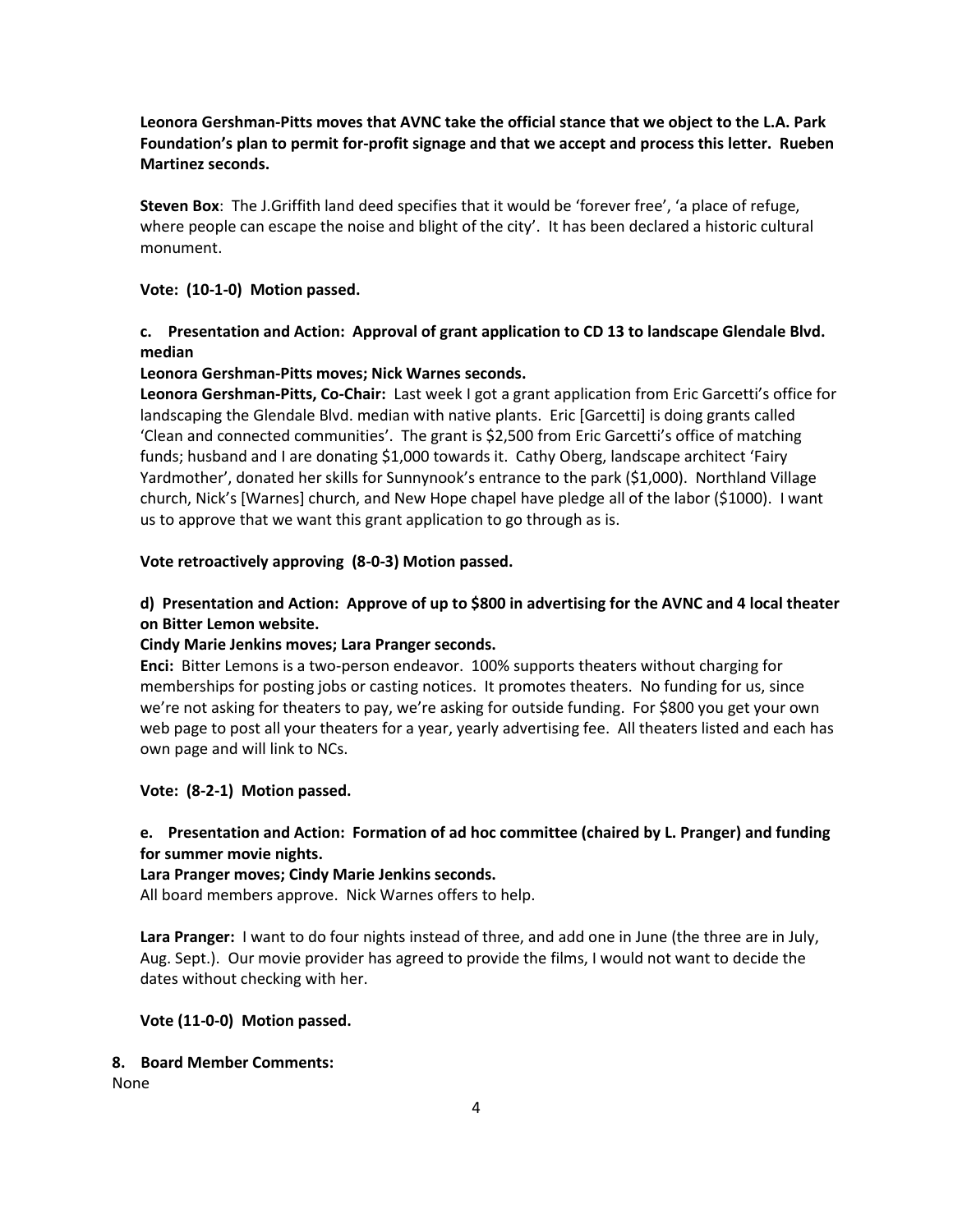**Leonora Gershman-Pitts moves that AVNC take the official stance that we object to the L.A. Park Foundation's plan to permit for-profit signage and that we accept and process this letter. Rueben Martinez seconds.**

**Steven Box**: The J.Griffith land deed specifies that it would be 'forever free', 'a place of refuge, where people can escape the noise and blight of the city'. It has been declared a historic cultural monument.

## **Vote: (10-1-0) Motion passed.**

# **c. Presentation and Action: Approval of grant application to CD 13 to landscape Glendale Blvd. median**

## **Leonora Gershman-Pitts moves; Nick Warnes seconds.**

**Leonora Gershman-Pitts, Co-Chair:** Last week I got a grant application from Eric Garcetti's office for landscaping the Glendale Blvd. median with native plants. Eric [Garcetti] is doing grants called 'Clean and connected communities'. The grant is \$2,500 from Eric Garcetti's office of matching funds; husband and I are donating \$1,000 towards it. Cathy Oberg, landscape architect 'Fairy Yardmother', donated her skills for Sunnynook's entrance to the park (\$1,000). Northland Village church, Nick's [Warnes] church, and New Hope chapel have pledge all of the labor (\$1000). I want us to approve that we want this grant application to go through as is.

## **Vote retroactively approving (8-0-3) Motion passed.**

# **d) Presentation and Action: Approve of up to \$800 in advertising for the AVNC and 4 local theater on Bitter Lemon website.**

## **Cindy Marie Jenkins moves; Lara Pranger seconds.**

**Enci:** Bitter Lemons is a two-person endeavor. 100% supports theaters without charging for memberships for posting jobs or casting notices. It promotes theaters. No funding for us, since we're not asking for theaters to pay, we're asking for outside funding. For \$800 you get your own web page to post all your theaters for a year, yearly advertising fee. All theaters listed and each has own page and will link to NCs.

## **Vote: (8-2-1) Motion passed.**

# **e. Presentation and Action: Formation of ad hoc committee (chaired by L. Pranger) and funding for summer movie nights.**

## **Lara Pranger moves; Cindy Marie Jenkins seconds.**

All board members approve. Nick Warnes offers to help.

**Lara Pranger:** I want to do four nights instead of three, and add one in June (the three are in July, Aug. Sept.). Our movie provider has agreed to provide the films, I would not want to decide the dates without checking with her.

## **Vote (11-0-0) Motion passed.**

## **8. Board Member Comments:**

None